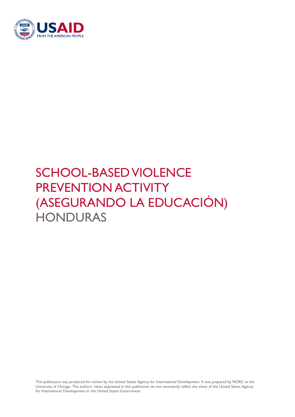

# SCHOOL-BASED VIOLENCE PREVENTION ACTIVITY (ASEGURANDO LA EDUCACIÓN) **HONDURAS**

This publication was produced for review by the United States Agency for International Development. It was prepared by NORC at the University of Chicago. The authors' views expressed in this publication do not necessarily reflect the views of the United States Agency for International Development or the United States Government.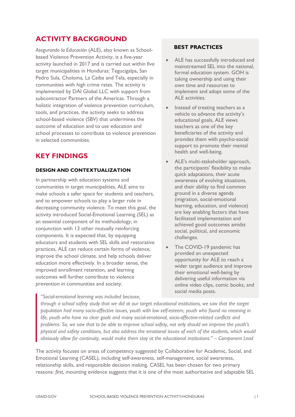## **ACTIVITY BACKGROUND**

*Asegurando la Educación* (ALE), also known as Schoolbased Violence Prevention Activity, is a five-year activity launched in 2017 and is carried out within five target municipalities in Honduras: Tegucigalpa, San Pedro Sula, Choloma, La Ceiba and Tela, especially in communities with high crime rates. The activity is implemented by DAI Global LLC with support from subcontractor Partners of the Americas. Through a holistic integration of violence prevention curriculum, tools, and practices, the activity seeks to address school-based violence (SBV) that undermines the outcome of education and to use education and school processes to contribute to violence prevention in selected communities.

## **KEY FINDINGS**

#### **DESIGN AND CONTEXTUALIZATION**

In partnership with education systems and communities in target municipalities, ALE aims to make schools a safer space for students and teachers, and to empower schools to play a larger role in decreasing community violence. To meet this goal, the activity introduced Social-Emotional Learning (SEL) as an essential component of its methodology, in conjunction with 13 other mutually reinforcing components. It is expected that, by equipping educators and students with SEL skills and restorative practices, ALE can reduce certain forms of violence, improve the school climate, and help schools deliver education more effectively. In a broader sense, the improved enrollment retention, and learning outcomes will further contribute to violence prevention in communities and society.

#### **BEST PRACTICES**

- ALE has successfully introduced and mainstreamed SEL into the national, formal education system. GOH is taking ownership and using their own time and resources to implement and adopt some of the ALE activities.
- Instead of treating teachers as a vehicle to advance the activity's educational goals, ALE views teachers as one of the key beneficiaries of the activity and provides them with psycho-social support to promote their mental health and well-being.
- ALE's multi-stakeholder approach, the participants' flexibility to make quick adaptations, their acute awareness of evolving situations, and their ability to find common ground in a diverse agenda (migration, social-emotional learning, education, and violence) are key enabling factors that have facilitated implementation and achieved good outcomes amidst social, political, and economic challenges.
- The COVID-19 pandemic has provided an unexpected opportunity for ALE to reach a wider target audience and improve their emotional well-being by delivering useful information via online video clips, comic books, and social media posts.

*"Social-emotional learning was included because, through a school safety study that we did at our target educational institutions, we saw that the target population had many socio-affective issues, youth with low self-esteem, youth who found no meaning in life, youth who have no clear goals and many social-emotional, socio-affective-related conflicts and problems. So, we saw that to be able to improve school safety, not only should we improve the youth's physical and safety conditions, but also address the emotional issues of each of the students, which would obviously allow for continuity, would make them stay at the educational institutions." – Component Lead*

The activity focuses on areas of competency suggested by Collaborative for Academic, Social, and Emotional Learning (CASEL), including self-awareness, self-management, social awareness, relationship skills, and responsible decision making. CASEL has been chosen for two primary reasons: *first,* mounting evidence suggests that it is one of the most authoritative and adaptable SEL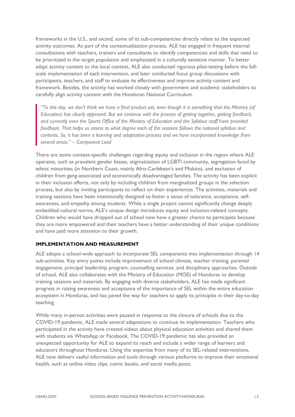frameworks in the U.S., and *second,* some of its sub-competencies directly relate to the expected activity outcomes. As part of the contextualization process, ALE has engaged in frequent internal consultations with teachers, trainers and consultants to identify competencies and skills that need to be prioritized in the target population and emphasized in a culturally sensitive manner. To better adapt activity content to the local context, ALE also conducted rigorous pilot-testing before the fullscale implementation of each intervention, and later conducted focus group discussions with participants, teachers, and staff to evaluate its effectiveness and improve activity content and framework. Besides, the activity has worked closely with government and academic stakeholders to carefully align activity content with the Honduran National Curriculum.

*"To this day, we don't think we have a final product yet, even though it is something that the Ministry (of Education) has clearly approved. But we continue with the process of getting together, getting feedback, and currently even the Sports Office of the Ministry of Education and the Syllabus staff have provided feedback. That helps us assess to what degree each of the sessions follows the national syllabus and contents. So, it has been a learning and adaptation process and we have incorporated knowledge from several areas." – Component Lead*

There are some context-specific challenges regarding equity and inclusion in the region where ALE operates, such as prevalent gender biases, stigmatization of LGBTI community, segregation faced by ethnic minorities (in Northern Coast, mainly Afro-Caribbean's and Miskito), and exclusion of children from gang-associated and economically disadvantaged families. The activity has been explicit in their inclusion efforts, not only by including children from marginalized groups in the selection process, but also by inviting participants to reflect on their experiences. The activities, materials and training sessions have been intentionally designed to foster a sense of tolerance, acceptance, selfawareness, and empathy among students. While a single project cannot significantly change deeply embedded cultural norms, ALE's unique design introduces equity and inclusion-related concepts. Children who would have dropped out of school now have a greater chance to participate because they are more empowered and their teachers have a better understanding of their unique conditions and have paid more attention to their growth.

#### **IMPLEMENTATION AND MEASUREMENT**

ALE adopts a school-wide approach to incorporate SEL components into implementation through 14 sub-activities. Key entry points include improvement of school climate, teacher training, parental engagement, principal leadership program, counselling services, and disciplinary approaches. Outside of school, ALE also collaborates with the Ministry of Education (MOE) of Honduras to develop training sessions and materials. By engaging with diverse stakeholders, ALE has made significant progress in raising awareness and acceptance of the importance of SEL within the entire education ecosystem in Honduras, and has paved the way for teachers to apply its principles in their day-to-day teaching.

While many in-person activities were paused in response to the closure of schools due to the COVID-19 pandemic, ALE made several adaptations to continue its implementation. Teachers who participated in the activity have created videos about physical education activities and shared them with students via WhatsApp or Facebook. The COVID-19 pandemic has also provided an unexpected opportunity for ALE to expand its reach and include a wider range of learners and educators throughout Honduras. Using the expertise from many of its SEL-related interventions, ALE now delivers useful information and tools through various platforms to improve their emotional health, such as online video clips, comic books, and social media posts.